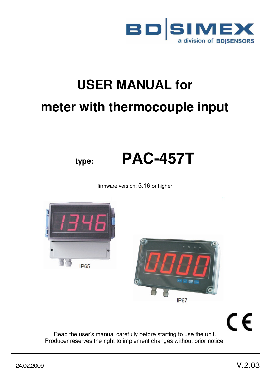

# **USER MANUAL for meter with thermocouple input**

# **type: PAC-457T**

firmware version: 5.16 or higher





CE

Read the user's manual carefully before starting to use the unit. Producer reserves the right to implement changes without prior notice.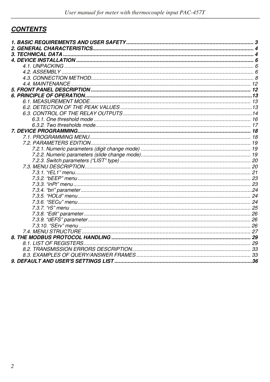# **CONTENTS**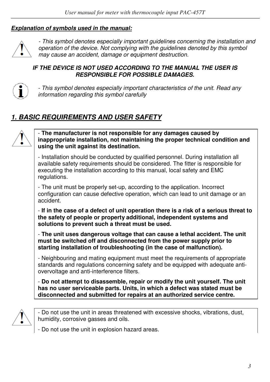#### *Explanation of symbols used in the manual:*



*- This symbol denotes especially important guidelines concerning the installation and operation of the device. Not complying with the guidelines denoted by this symbol may cause an accident, damage or equipment destruction.*

#### *IF THE DEVICE IS NOT USED ACCORDING TO THE MANUAL THE USER IS RESPONSIBLE FOR POSSIBLE DAMAGES.*



*- This symbol denotes especially important characteristics of the unit. Read any information regarding this symbol carefully* 

# *1. BASIC REQUIREMENTS AND USER SAFETY*



- **The manufacturer is not responsible for any damages caused by inappropriate installation, not maintaining the proper technical condition and using the unit against its destination.** 

- Installation should be conducted by qualified personnel. During installation all available safety requirements should be considered. The fitter is responsible for executing the installation according to this manual, local safety and EMC regulations.

- The unit must be properly set-up, according to the application. Incorrect configuration can cause defective operation, which can lead to unit damage or an accident.

- **If in the case of a defect of unit operation there is a risk of a serious threat to the safety of people or property additional, independent systems and solutions to prevent such a threat must be used.** 

- **The unit uses dangerous voltage that can cause a lethal accident. The unit must be switched off and disconnected from the power supply prior to starting installation of troubleshooting (in the case of malfunction).** 

- Neighbouring and mating equipment must meet the requirements of appropriate standards and regulations concerning safety and be equipped with adequate antiovervoltage and anti-interference filters.

- **Do not attempt to disassemble, repair or modify the unit yourself. The unit has no user serviceable parts. Units, in which a defect was stated must be disconnected and submitted for repairs at an authorized service centre.** 



- Do not use the unit in areas threatened with excessive shocks, vibrations, dust, humidity, corrosive gasses and oils.

- Do not use the unit in explosion hazard areas.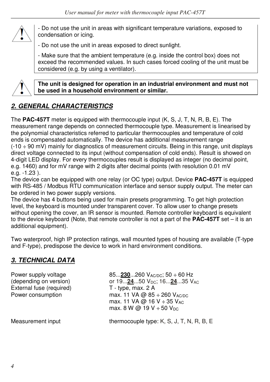

- Do not use the unit in areas with significant temperature variations, exposed to condensation or icing.

- Do not use the unit in areas exposed to direct sunlight.

- Make sure that the ambient temperature (e.g. inside the control box) does not exceed the recommended values. In such cases forced cooling of the unit must be considered (e.g. by using a ventilator).



**The unit is designed for operation in an industrial environment and must not be used in a household environment or similar.** 

# *2. GENERAL CHARACTERISTICS*

The **PAC-457T** meter is equipped with thermocouple input (K, S, J, T, N, R, B, E). The measurement range depends on connected thermocouple type. Measurement is linearised by the polynomial characteristics referred to particular thermocouples and temperature of cold ends is compensated automatically. The device has additional measurement range (-10 ÷ 90 mV) mainly for diagnostics of measurement circuits. Being in this range, unit displays direct voltage connected to its input (without compensation of cold ends). Result is showed on 4-digit LED display. For every thermocouples result is displayed as integer (no decimal point, e.g. 1460) and for mV range with 2 digits after decimal points (with resolution 0.01 mV e.g. -1.23 ).

The device can be equipped with one relay (or OC type) output. Device **PAC-457T** is equipped with RS-485 / Modbus RTU communication interface and sensor supply output. The meter can be ordered in two power supply versions.

The device has 4 buttons being used for main presets programming. To get high protection level, the keyboard is mounted under transparent cover. To allow user to change presets without opening the cover, an IR sensor is mounted. Remote controller keyboard is equivalent to the device keyboard (Note, that remote controller is not a part of the **PAC-457T** set – it is an additional equipment).

Two waterproof, high IP protection ratings, wall mounted types of housing are available (T-type and F-type), predispose the device to work in hard environment conditions.

# *3. TECHNICAL DATA*

Power supply voltage  $(28.1230)$  and  $(3.1230)$  and  $(4.000)$  and  $(5.000)$  component  $(6.000)$  by  $(6.000)$  component  $(7.000)$  by  $(7.000)$  component  $(8.000)$  by  $(19.000)$  by  $(19.000)$  by  $(19.000)$  by  $(19.000)$  by or 19...<u>24</u>...50 V<sub>DC</sub>; 16...<u>24</u>...35 V<sub>AC</sub><br>T - type, max. 2 A External fuse (required) Power consumption max. 11 VA  $\omega$  85 ÷ 260 VAC/DC max. 11 VA @ 16 V  $\div$  35 V<sub>AC</sub> max. 8 W @ 19 V  $\div$  50 V<sub>DC</sub> Measurement input thermocouple type: K, S, J, T, N, R, B, E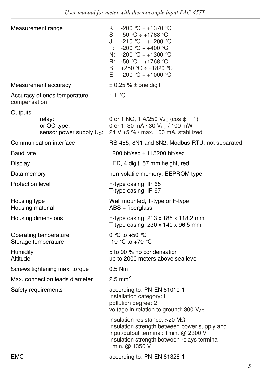| Measurement range                            |                                                            | K: $-200$ °C $\div$ +1370 °C<br>S: $-50$ °C $\div$ +1768 °C<br>J: $-210$ ℃ ÷ +1200 ℃<br>T: -200 ℃ ÷ +400 ℃<br>N: $-200$ °C ÷ +1300 °C<br>R: $-50$ °C $\div$ +1768 °C<br>B: $+250$ °C $\div$ +1820 °C<br>E: -200 ℃ ÷ +1000 ℃ |  |  |
|----------------------------------------------|------------------------------------------------------------|-----------------------------------------------------------------------------------------------------------------------------------------------------------------------------------------------------------------------------|--|--|
|                                              | Measurement accuracy                                       | $\pm$ 0.25 % $\pm$ one digit                                                                                                                                                                                                |  |  |
| compensation                                 | Accuracy of ends temperature                               | ÷1 ℃                                                                                                                                                                                                                        |  |  |
| Outputs                                      |                                                            |                                                                                                                                                                                                                             |  |  |
|                                              | relay:<br>or OC-type:<br>sensor power supply $U_{\odot}$ : | 0 or 1 NO, 1 A/250 $V_{AC}$ (cos $\phi = 1$ )<br>0 or 1, 30 mA / 30 $V_{DC}$ / 100 mW<br>24 V +5 % / max. 100 mA, stabilized                                                                                                |  |  |
|                                              | Communication interface                                    | RS-485, 8N1 and 8N2, Modbus RTU, not separated                                                                                                                                                                              |  |  |
| Baud rate                                    |                                                            | 1200 bit/sec $\div$ 115200 bit/sec                                                                                                                                                                                          |  |  |
| Display                                      |                                                            | LED, 4 digit, 57 mm height, red                                                                                                                                                                                             |  |  |
| Data memory                                  |                                                            | non-volatile memory, EEPROM type                                                                                                                                                                                            |  |  |
| Protection level                             |                                                            | F-type casing: IP 65<br>T-type casing: IP 67                                                                                                                                                                                |  |  |
| Housing type<br>Housing material             |                                                            | Wall mounted, T-type or F-type<br>$ABS + fiberglass$                                                                                                                                                                        |  |  |
| Housing dimensions                           |                                                            | F-type casing: $213 \times 185 \times 118.2$ mm<br>T-type casing: 230 x 140 x 96.5 mm                                                                                                                                       |  |  |
| Operating temperature<br>Storage temperature |                                                            | 0 °C to +50 °C<br>-10 ℃ to +70 ℃                                                                                                                                                                                            |  |  |
| Humidity<br>Altitude                         |                                                            | 5 to 90 % no condensation<br>up to 2000 meters above sea level                                                                                                                                                              |  |  |
|                                              | Screws tightening max. torque                              | $0.5$ Nm                                                                                                                                                                                                                    |  |  |
| Max. connection leads diameter               |                                                            | 2.5 mm <sup>2</sup>                                                                                                                                                                                                         |  |  |
| Safety requirements                          |                                                            | according to: PN-EN 61010-1<br>installation category: II<br>pollution degree: 2<br>voltage in relation to ground: 300 VAC                                                                                                   |  |  |
|                                              |                                                            | insulation resistance: > 20 MΩ<br>insulation strength between power supply and<br>input/output terminal: 1min. @ 2300 V<br>insulation strength between relays terminal:<br>1min. @ 1350 V                                   |  |  |
| EMC                                          |                                                            | according to: PN-EN 61326-1                                                                                                                                                                                                 |  |  |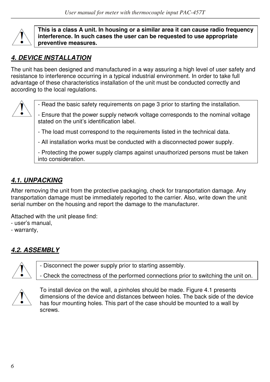

**This is a class A unit. In housing or a similar area it can cause radio frequency interference. In such cases the user can be requested to use appropriate preventive measures.** 

# *4. DEVICE INSTALLATION*

The unit has been designed and manufactured in a way assuring a high level of user safety and resistance to interference occurring in a typical industrial environment. In order to take full advantage of these characteristics installation of the unit must be conducted correctly and according to the local regulations.



- Read the basic safety requirements on page 3 prior to starting the installation.

- Ensure that the power supply network voltage corresponds to the nominal voltage stated on the unit's identification label.

- The load must correspond to the requirements listed in the technical data.

- All installation works must be conducted with a disconnected power supply.

- Protecting the power supply clamps against unauthorized persons must be taken into consideration.

# *4.1. UNPACKING*

After removing the unit from the protective packaging, check for transportation damage. Any transportation damage must be immediately reported to the carrier. Also, write down the unit serial number on the housing and report the damage to the manufacturer.

Attached with the unit please find:

- user's manual,
- warranty,

# *4.2. ASSEMBLY*



- Disconnect the power supply prior to starting assembly.

- Check the correctness of the performed connections prior to switching the unit on.



To install device on the wall, a pinholes should be made. Figure 4.1 presents dimensions of the device and distances between holes. The back side of the device has four mounting holes. This part of the case should be mounted to a wall by screws.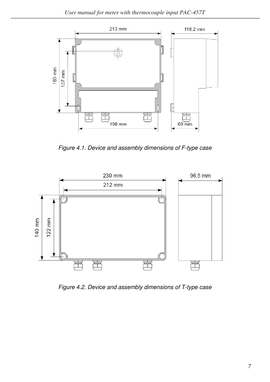

*Figure 4.1. Device and assembly dimensions of F-type case* 



*Figure 4.2. Device and assembly dimensions of T-type case*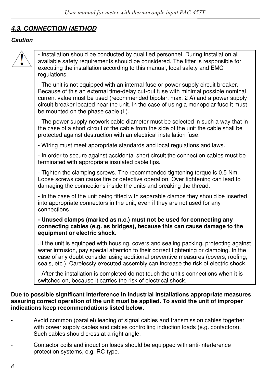# *4.3. CONNECTION METHOD*

#### *Caution*



- Installation should be conducted by qualified personnel. During installation all available safety requirements should be considered. The fitter is responsible for executing the installation according to this manual, local safety and EMC regulations.

- The unit is not equipped with an internal fuse or power supply circuit breaker. Because of this an external time-delay cut-out fuse with minimal possible nominal current value must be used (recommended bipolar, max. 2 A) and a power supply circuit-breaker located near the unit. In the case of using a monopolar fuse it must be mounted on the phase cable (L).

- The power supply network cable diameter must be selected in such a way that in the case of a short circuit of the cable from the side of the unit the cable shall be protected against destruction with an electrical installation fuse.

- Wiring must meet appropriate standards and local regulations and laws.

- In order to secure against accidental short circuit the connection cables must be terminated with appropriate insulated cable tips.

- Tighten the clamping screws. The recommended tightening torque is 0.5 Nm. Loose screws can cause fire or defective operation. Over tightening can lead to damaging the connections inside the units and breaking the thread.

- In the case of the unit being fitted with separable clamps they should be inserted into appropriate connectors in the unit, even if they are not used for any connections.

#### **- Unused clamps (marked as n.c.) must not be used for connecting any connecting cables (e.g. as bridges), because this can cause damage to the equipment or electric shock.**

If the unit is equipped with housing, covers and sealing packing, protecting against water intrusion, pay special attention to their correct tightening or clamping. In the case of any doubt consider using additional preventive measures (covers, roofing, seals, etc.). Carelessly executed assembly can increase the risk of electric shock.

- After the installation is completed do not touch the unit's connections when it is switched on, because it carries the risk of electrical shock.

#### **Due to possible significant interference in industrial installations appropriate measures assuring correct operation of the unit must be applied. To avoid the unit of improper indications keep recommendations listed below.**

- Avoid common (parallel) leading of signal cables and transmission cables together with power supply cables and cables controlling induction loads (e.g. contactors). Such cables should cross at a right angle.
- Contactor coils and induction loads should be equipped with anti-interference protection systems, e.g. RC-type.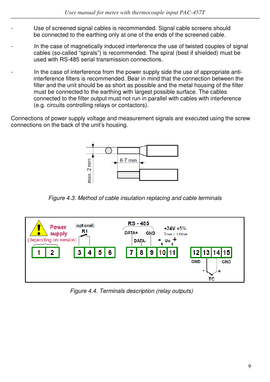- Use of screened signal cables is recommended. Signal cable screens should be connected to the earthing only at one of the ends of the screened cable.
- In the case of magnetically induced interference the use of twisted couples of signal cables (so-called "spirals") is recommended. The spiral (best if shielded) must be used with RS-485 serial transmission connections.
- In the case of interference from the power supply side the use of appropriate antiinterference filters is recommended. Bear in mind that the connection between the filter and the unit should be as short as possible and the metal housing of the filter must be connected to the earthing with largest possible surface. The cables connected to the filter output must not run in parallel with cables with interference (e.g. circuits controlling relays or contactors).

Connections of power supply voltage and measurement signals are executed using the screw connections on the back of the unit's housing.



*Figure 4.3. Method of cable insulation replacing and cable terminals* 



*Figure 4.4. Terminals description (relay outputs)*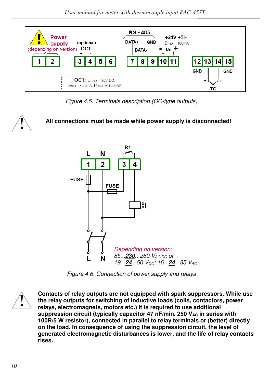

*Figure 4.5. Terminals description (OC-type outputs)*

## **All connections must be made while power supply is disconnected!**



*Figure 4.6. Connection of power supply and relays* 



**Contacts of relay outputs are not equipped with spark suppressors. While use the relay outputs for switching of inductive loads (coils, contactors, power relays, electromagnets, motors etc.) it is required to use additional**  suppression circuit (typically capacitor 47 nF/min. 250 V<sub>AC</sub> in series with **100R/5 W resistor), connected in parallel to relay terminals or (better) directly on the load. In consequence of using the suppression circuit, the level of generated electromagnetic disturbances is lower, and the life of relay contacts rises.**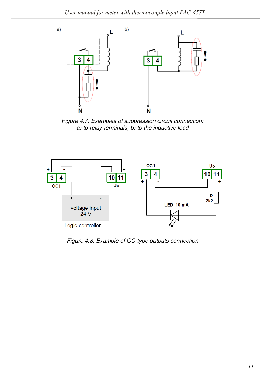

*Figure 4.7. Examples of suppression circuit connection: a) to relay terminals; b) to the inductive load*



*Figure 4.8. Example of OC-type outputs connection*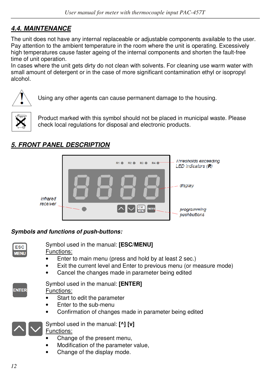# *4.4. MAINTENANCE*

The unit does not have any internal replaceable or adjustable components available to the user. Pay attention to the ambient temperature in the room where the unit is operating. Excessively high temperatures cause faster ageing of the internal components and shorten the fault-free time of unit operation.

In cases where the unit gets dirty do not clean with solvents. For cleaning use warm water with small amount of detergent or in the case of more significant contamination ethyl or isopropyl alcohol.



Using any other agents can cause permanent damage to the housing.



Product marked with this symbol should not be placed in municipal waste. Please check local regulations for disposal and electronic products.

# *5. FRONT PANEL DESCRIPTION*



### *Symbols and functions of push-buttons:*

| ___   |  |
|-------|--|
| _____ |  |

**ENTER** 

Symbol used in the manual: **[ESC/MENU]** Functions:

- Enter to main menu (press and hold by at least 2 sec.)
- Exit the current level and Enter to previous menu (or measure mode)
- Cancel the changes made in parameter being edited

| Symbol used in the manual: [ENTER] |
|------------------------------------|
| Functionar                         |

Functions:

- Start to edit the parameter
- Enter to the sub-menu
- Confirmation of changes made in parameter being edited



Symbol used in the manual: **[^] [v]** 

Functions:

- Change of the present menu,
- Modification of the parameter value,
- Change of the display mode.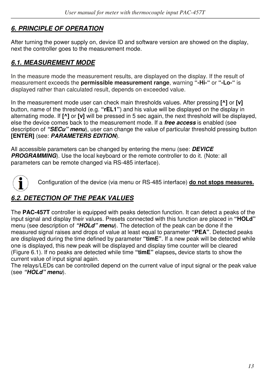# *6. PRINCIPLE OF OPERATION*

After turning the power supply on, device ID and software version are showed on the display, next the controller goes to the measurement mode.

## *6.1. MEASUREMENT MODE*

In the measure mode the measurement results, are displayed on the display. If the result of measurement exceeds the **permissible measurement range**, warning **"-Hi-"** or **"-Lo-"** is displayed rather than calculated result, depends on exceeded value.

In the measurement mode user can check main thresholds values. After pressing **[^]** or **[v]**  button, name of the threshold (e.g. **"rEL1"**) and his value will be displayed on the display in alternating mode. If **[^]** or **[v]** will be pressed in 5 sec again, the next threshold will be displayed, else the device comes back to the measurement mode. If a *free access* is enabled (see description of *"SECu" menu*), user can change the value of particular threshold pressing button **[ENTER]** (see: *PARAMETERS EDITION*).

All accessible parameters can be changed by entering the menu (see: *DEVICE*  **PROGRAMMING**). Use the local keyboard or the remote controller to do it. (Note: all parameters can be remote changed via RS-485 interface).



Configuration of the device (via menu or RS-485 interface) **do not stops measures.**

# *6.2. DETECTION OF THE PEAK VALUES*

The **PAC-457T** controller is equipped with peaks detection function. It can detect a peaks of the input signal and display their values. Presets connected with this function are placed in **"HOLd"**  menu (see description of *"HOLd" menu*). The detection of the peak can be done if the measured signal raises and drops of value at least equal to parameter **"PEA"**. Detected peaks are displayed during the time defined by parameter **"timE"**. If a new peak will be detected while one is displayed, this new peak will be displayed and display time counter will be cleared (Figure 6.1). If no peaks are detected while time **"timE"** elapses**,** device starts to show the current value of input signal again.

The relays/LEDs can be controlled depend on the current value of input signal or the peak value (see *"HOLd" menu*).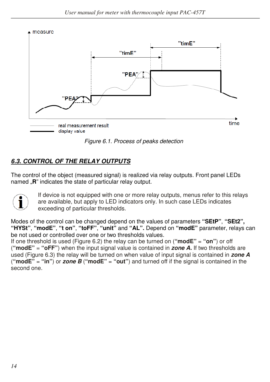measure



*Figure 6.1. Process of peaks detection* 

# *6.3. CONTROL OF THE RELAY OUTPUTS*

The control of the object (measured signal) is realized via relay outputs. Front panel LEDs named "**R**" indicates the state of particular relay output.



If device is not equipped with one or more relay outputs, menus refer to this relays are available, but apply to LED indicators only. In such case LEDs indicates exceeding of particular thresholds.

Modes of the control can be changed depend on the values of parameters **"SEtP"**, **"SEt2", "HYSt"**, **"modE"**, **"t on"**, **"toFF"**, **"unit"** and **"AL".** Depend on **"modE"** parameter, relays can be not used or controlled over one or two thresholds values.

If one threshold is used (Figure 6.2) the relay can be turned on (**"modE"** = **"on"**) or off (**"modE"** = **"oFF"**) when the input signal value is contained in *zone A.* If two thresholds are used (Figure 6.3) the relay will be turned on when value of input signal is contained in *zone A*  ("**modE"** = "in") or *zone B* ("modE" = "out") and turned off if the signal is contained in the second one.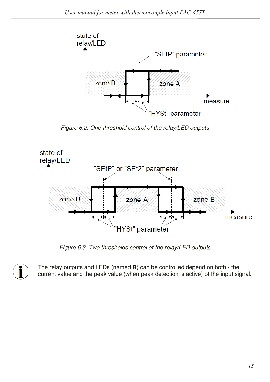

*Figure 6.2. One threshold control of the relay/LED outputs* 



*Figure 6.3. Two thresholds control of the relay/LED outputs* 



The relay outputs and LEDs (named **R**) can be controlled depend on both - the current value and the peak value (when peak detection is active) of the input signal.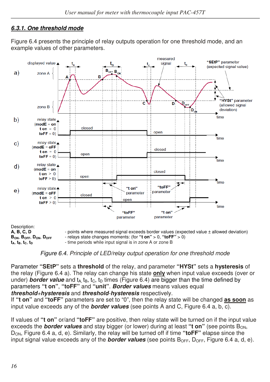## *6.3.1. One threshold mode*

Figure 6.4 presents the principle of relay outputs operation for one threshold mode, and an example values of other parameters.



*Figure 6.4. Principle of LED/relay output operation for one threshold mode*

Parameter **"SEtP"** sets a **threshold** of the relay, and parameter **"HYSt"** sets a **hysteresis** of the relay (Figure 6.4 a). The relay can change his state **only** when input value exceeds (over or under) **border value** and  $t_A$ ,  $t_B$ ,  $t_C$ ,  $t_D$  times (Figure 6.4) are bigger than the time defined by parameters **"t on"**, **"toFF"** and **"unit"**. *Border values* means values equal *threshold+hysteresis* and *threshold-hysteresis* respectively.

If **"t on"** and **"toFF"** parameters are set to "0", then the relay state will be changed **as soon** as input value exceeds any of the *border values* (see points A and C, Figure 6.4 a, b, c).

If values of **"t on"** or/and **"toFF"** are positive, then relay state will be turned on if the input value exceeds the **border values** and stay bigger (or lower) during at least "**t on**" (see points B<sub>ON</sub>, DON, Figure 6.4 a, d, e). Similarly, the relay will be turned off if time **"toFF"** elapse since the input signal value exceeds any of the **border values** (see points B<sub>OFF</sub>, D<sub>OFF</sub>, Figure 6.4 a, d, e).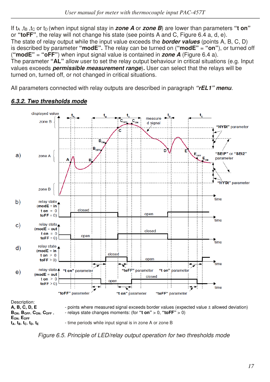If t<sub>A</sub>, t<sub>B</sub>, t<sub>C</sub> or t<sub>D</sub> (when input signal stay in *zone A* or *zone B*) are lower than parameters "**t on**" or **"toFF"**, the relay will not change his state (see points A and C, Figure 6.4 a, d, e). The state of relay output while the input value exceeds the *border values* (points A, B, C, D) is described by parameter **"modE".** The relay can be turned on (**"modE"** = **"on"**), or turned off (**"modE"** = **"oFF"**) when input signal value is contained in *zone A* (Figure 6.4 a). The parameter **"AL"** allow user to set the relay output behaviour in critical situations (e.g. Input values exceeds *permissible measurement range*)*.* User can select that the relays will be turned on, turned off, or not changed in critical situations.

All parameters connected with relay outputs are described in paragraph *"rEL1" menu.*



### *6.3.2. Two thresholds mode*

*Figure 6.5. Principle of LED/relay output operation for two thresholds mode*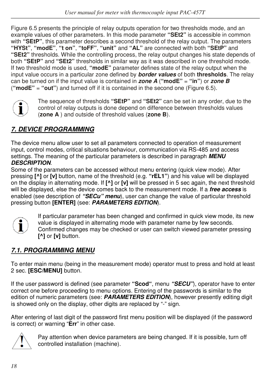Figure 6.5 presents the principle of relay outputs operation for two thresholds mode, and an example values of other parameters. In this mode parameter **"SEt2"** is accessible in common with **"SEtP"**, this parameter describes a second threshold of the relay output. The parameters **"HYSt"**, **"modE"**, **"t on"**, **"toFF"**, **"unit"** and **"AL"** are connected with both **"SEtP"** and **"SEt2"** thresholds. While the controlling process, the relay output changes his state depends of both **"SEtP"** and **"SEt2"** thresholds in similar way as it was described in one threshold mode. If two threshold mode is used, **"modE"** parameter defines state of the relay output when the input value occurs in a particular zone defined by *border values* of both **thresholds**. The relay can be turned on if the input value is contained in *zone A* (**"modE"** = **"in"**) or *zone B*  (**"modE"** = **"out"**) and turned off if it is contained in the second one (Figure 6.5).



The sequence of thresholds **"SEtP"** and **"SEt2"** can be set in any order, due to the control of relay outputs is done depend on difference between thresholds values (**zone A** ) and outside of threshold values (**zone B**).

# *7. DEVICE PROGRAMMING*

The device menu allow user to set all parameters connected to operation of measurement input, control modes, critical situations behaviour, communication via RS-485 and access settings. The meaning of the particular parameters is described in paragraph *MENU DESCRIPTION*.

Some of the parameters can be accessed without menu entering (quick view mode). After pressing **[^]** or **[v]** button, name of the threshold (e.g. **"rEL1"**) and his value will be displayed on the display in alternating mode. If **[^]** or **[v]** will be pressed in 5 sec again, the next threshold will be displayed, else the device comes back to the measurement mode. If a *free access* is enabled (see description of *"SECu" menu*), user can change the value of particular threshold pressing button **[ENTER]** (see: *PARAMETERS EDITION*).



If particular parameter has been changed and confirmed in quick view mode, its new value is displayed in alternating mode with parameter name by few seconds. Confirmed changes may be checked or user can switch viewed parameter pressing **[^]** or **[v]** button.

# *7.1. PROGRAMMING MENU*

To enter main menu (being in the measurement mode) operator must to press and hold at least 2 sec. **[ESC/MENU]** button.

If the user password is defined (see parameter **"Scod"**, menu *"SECU"*), operator have to enter correct one before proceeding to menu options. Entering of the passwords is similar to the edition of numeric parameters (see: **PARAMETERS EDITION**), however presently editing digit is showed only on the display, other digits are replaced by "-" sign.

After entering of last digit of the password first menu position will be displayed (if the password is correct) or warning "**Err**" in other case.



Pay attention when device parameters are being changed. If it is possible, turn off controlled installation (machine).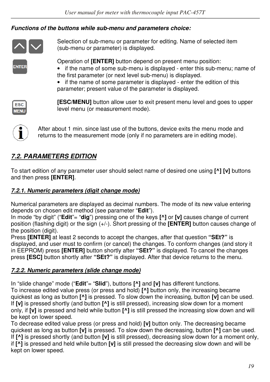## *Functions of the buttons while sub-menu and parameters choice:*



Selection of sub-menu or parameter for editing. Name of selected item (sub-menu or parameter) is displayed.

**NTER** 

Operation of **[ENTER]** button depend on present menu position:

- if the name of some sub-menu is displayed enter this sub-menu; name of the first parameter (or next level sub-menu) is displayed.
- if the name of some parameter is displayed enter the edition of this parameter; present value of the parameter is displayed.



**[ESC/MENU]** button allow user to exit present menu level and goes to upper level menu (or measurement mode).



After about 1 min. since last use of the buttons, device exits the menu mode and returns to the measurement mode (only if no parameters are in editing mode).

# *7.2. PARAMETERS EDITION*

To start edition of any parameter user should select name of desired one using **[^] [v]** buttons and then press **[ENTER]**.

## *7.2.1. Numeric parameters (digit change mode)*

Numerical parameters are displayed as decimal numbers. The mode of its new value entering depends on chosen edit method (see parameter "**Edit**").

In mode "by digit" ("**Edit**"= "**dig**") pressing one of the keys **[^]** or **[v]** causes change of current position (flashing digit) or the sign (+/-). Short pressing of the **[ENTER]** button causes change of the position (digit).

Press **[ENTER]** at least 2 seconds to accept the changes, after that question **"SEt?"** is displayed, and user must to confirm (or cancel) the changes. To conform changes (and story it in EEPROM) press **[ENTER]** button shortly after **"SEt?"** is displayed. To cancel the changes press **[ESC]** button shortly after **"SEt?"** is displayed. After that device returns to the menu.

## *7.2.2. Numeric parameters (slide change mode)*

In "slide change" mode ("**Edit**"= "**Slid**"), buttons **[^]** and **[v]** has different functions.

To increase edited value press (or press and hold) **[^]** button only, the increasing became quickest as long as button **[^]** is pressed. To slow down the increasing, button **[v]** can be used. If **[v]** is pressed shortly (and button **[^]** is still pressed), increasing slow down for a moment only, if **[v]** is pressed and held while button **[^]** is still pressed the increasing slow down and will be kept on lower speed.

To decrease edited value press (or press and hold) **[v]** button only. The decreasing became quickest as long as button **[v]** is pressed. To slow down the decreasing, button **[^]** can be used. If **[^]** is pressed shortly (and button **[v]** is still pressed), decreasing slow down for a moment only, if **[^]** is pressed and held while button **[v]** is still pressed the decreasing slow down and will be kept on lower speed.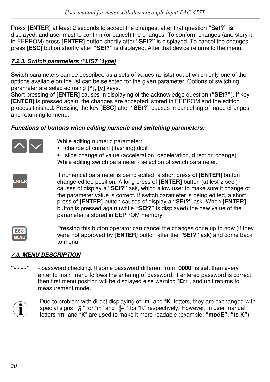Press **[ENTER]** at least 2 seconds to accept the changes, after that question **"Set?" is**  displayed, and user must to confirm (or cancel) the changes. To conform changes (and story it in EEPROM) press **[ENTER]** button shortly after **"SEt?"** is displayed. To cancel the changes press **[ESC]** button shortly after **"SEt?"** is displayed. After that device returns to the menu.

## *7.2.3. Switch parameters ("LIST" type)*

Switch parameters can be described as a sets of values (a lists) out of which only one of the options available on the list can be selected for the given parameter. Options of switching parameter are selected using **[^]**, **[v]** keys.

Short pressing of **[ENTER]** causes in displaying of the acknowledge question (**"SEt?"**). If key **[ENTER]** is pressed again, the changes are accepted, stored in EEPROM end the edition process finished. Pressing the key **[ESC]** after **"SEt?"** causes in cancelling of made changes and returning to menu.

### *Functions of buttons when editing numeric and switching parameters:*



Pressing this button operator can cancel the changes done up to now (if they ESC were not approved by **[ENTER]** button after the **"SEt?"** ask) and come back to menu

## *7.3. MENU DESCRIPTION*

**"- - - -"** - password checking. If some password different from "**0000**" is set, then every enter to main menu follows the entering of password. If entered password is correct then first menu position will be displayed else warning "**Err**", and unit returns to measurement mode.



**WEN** 

Due to problem with direct displaying of "**m**" and "**K**" letters, they are exchanged with special signs " $\bar{h}$  " for "m" and " $\bar{h}$  " for "K" respectively. However, in user manual letters "**m**" and "**K**" are used to make it more readable (example: **"modE", "tc K"**).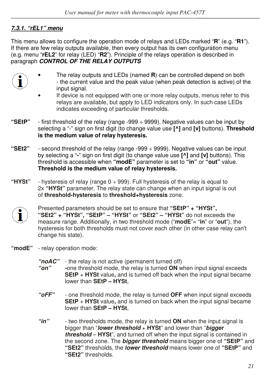## *7.3.1. "rEL1" menu*

This menu allows to configure the operation mode of relays and LEDs marked "**R**" (e.g. "**R1**"). If there are few relay outputs available, then every output has its own configuration menu (e.g. menu "**rEL2**" for relay (LED) "**R2**"). Principle of the relays operation is described in paragraph *CONTROL OF THE RELAY OUTPUTS.* 

- 
- The relay outputs and LEDs (named **R**) can be controlled depend on both - the current value and the peak value (when peak detection is active) of the input signal.
- If device is not equipped with one or more relay outputs, menus refer to this relays are available, but apply to LED indicators only. In such case LEDs indicates exceeding of particular thresholds.
- **"SEtP"**  first threshold of the relay (range -999 ÷ 9999). Negative values can be input by selecting a "-" sign on first digit (to change value use **[^]** and **[v]** buttons). **Threshold is the medium value of relay hysteresis.**
- **"SEt2"**  second threshold of the relay (range -999 ÷ 9999). Negative values can be input by selecting a "**-**" sign on first digit (to change value use **[^]** and **[v]** buttons). This threshold is accessible when **"modE"** parameter is set to **"in"** or **"out"** value. **Threshold is the medium value of relay hysteresis.**
- **"HYSt"**  hysteresis of relay (range 0 ÷ 999). Full hysteresis of the relay is equal to 2x **"HYSt"** parameter. The relay state can change when an input signal is out of **threshold-hysteresis** to **threshold+hysteresis** zone.



Presented parameters should be set to ensure that **"SEtP" + "HYSt", "SEt2" + "HYSt", "SEtP" – "HYSt"** or **"SEt2" – "HYSt"** do not exceeds the measure range. Additionally, in two threshold mode ("**modE**"= "**in**" or "**out**"), the hysteresis for both thresholds must not cover each other (in other case relay can't change his state).

- **"modE"**  relay operation mode:
	- *"noAC"*  the relay is not active (permanent turned off)
	- *"on" -*one threshold mode, the relay is turned **ON** when input signal exceeds **SEtP** + **HYSt** value**,** and is turned off back when the input signal became lower than **SEtP – HYSt**,
	- *"oFF"*  one threshold mode, the relay is turned **OFF** when input signal exceeds **SEtP** + **HYSt** value**,** and is turned on back when the input signal became lower than **SEtP – HYSt**,
	- *"in"*  two thresholds mode, the relay is turned **ON** when the input signal is bigger than "*lower threshold* + **HYSt**" and lower than "*bigger threshold* – **HYSt**", and turned off when the input signal is contained in the second zone. The *bigger threshold* means bigger one of **"SEtP"** and **"SEt2"** thresholds, the *lower threshold* means lower one of **"SEtP"** and **"SEt2"** thresholds.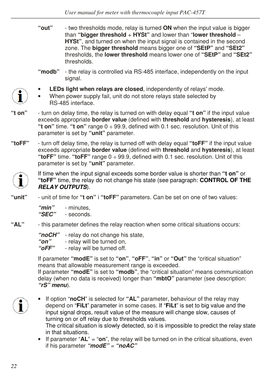- **"out"**  two thresholds mode, relay is turned **ON** when the input value is bigger than **"bigger threshold** + **HYSt"** and lower than "**lower threshold** – **HYSt"**, and turned on when the input signal is contained in the second zone. The **bigger threshold** means bigger one of **"SEtP"** and **"SEt2"**  thresholds, the **lower threshold** means lower one of **"SEtP"** and **"SEt2"**  thresholds.
- **"modb"** the relay is controlled via RS-485 interface, independently on the input signal.
- **LEDs light when relays are closed**, independently of relays' mode.
- When power supply fail, unit do not store relays state selected by RS-485 interface.
- **"t on"**  turn on delay time, the relay is turned on with delay equal **"t on"** if the input value exceeds appropriate **border value** (defined with **threshold** and **hysteresis**), at least **"t on"** time. **"t on"** range 0 ÷ 99.9, defined with 0.1 sec. resolution. Unit of this parameter is set by **"unit"** parameter.
- **"toFF"**  turn off delay time, the relay is turned off with delay equal **"toFF"** if the input value exceeds appropriate **border value** (defined with **threshold** and **hysteresis**), at least **"toFF"** time. **"toFF"** range 0 ÷ 99.9, defined with 0.1 sec. resolution. Unit of this parameter is set by **"unit"** parameter.



If time when the input signal exceeds some border value is shorter than **"t on"** or **"toFF"** time, the relay do not change his state (see paragraph: **CONTROL OF THE** *RELAY OUTPUTS*).

**"unit"** - unit of time for **"t on"** i **"toFF"** parameters. Can be set on one of two values:

 *"min"* - minutes,  *"SEC"* - seconds.

**"AL"** - this parameter defines the relay reaction when some critical situations occurs:

 *"noCH"* - relay do not change his state,

**"on"** - relay will be turned on,<br>"**oFF"** - relay will be turned off

- relay will be turned off.

If parameter **"modE"** is set to **"on"**, **"oFF"**, **"in"** or **"Out"** the "critical situation" means that allowable measurement range is exceeded.

If parameter **"modE"** is set to **"modb"**, the "critical situation" means communication delay (when no data is received) longer than **"mbtO"** parameter (see description: *"rS" menu*).

• If option "**noCH**" is selected for **"AL"** parameter, behaviour of the relay may depend on "**FiLt**" parameter in some cases. If "**FiLt**" is set to big value and the input signal drops, result value of the measure will change slow, causes of turning on or off relay due to thresholds values. The critical situation is slowly detected, so it is impossible to predict the relay state in that situations.

• If parameter "**AL**" = "**on**", the relay will be turned on in the critical situations, even if his parameter *"modE" = "noAC"*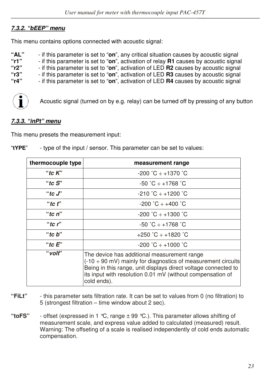## *7.3.2. "bEEP" menu*

This menu contains options connected with acoustic signal:

| "AL" | - if this parameter is set to " <b>on</b> ", any critical situation causes by acoustic signal      |
|------|----------------------------------------------------------------------------------------------------|
| "r1" | - if this parameter is set to "on", activation of relay <b>R1</b> causes by acoustic signal        |
| "r2" | - if this parameter is set to "on", activation of LED <b>R2</b> causes by acoustic signal          |
| "r3" | - if this parameter is set to " <b>on</b> ", activation of LED <b>R3</b> causes by acoustic signal |
| "r4" | - if this parameter is set to "on", activation of LED <b>R4</b> causes by acoustic signal          |



Acoustic signal (turned on by e.g. relay) can be turned off by pressing of any button

### *7.3.3. "inPt" menu*

This menu presets the measurement input:

| "tYPE" | - type of the input / sensor. This parameter can be set to values: |
|--------|--------------------------------------------------------------------|
|        |                                                                    |

| thermocouple type | measurement range                                                                                                                                                                                                                                                       |
|-------------------|-------------------------------------------------------------------------------------------------------------------------------------------------------------------------------------------------------------------------------------------------------------------------|
| "tc $K$ "         | $-200$ °C $\div$ +1370 °C                                                                                                                                                                                                                                               |
| "tc $S$ "         | $-50$ °C $\div$ +1768 °C                                                                                                                                                                                                                                                |
| "to $J$ "         | $-210 \degree C + 1200 \degree C$                                                                                                                                                                                                                                       |
| "tc $f$ "         | $-200 °C + +400 °C$                                                                                                                                                                                                                                                     |
| "tc $n$ "         | $-200 °C \div +1300 °C$                                                                                                                                                                                                                                                 |
| "to $r$ "         | $-50$ °C $\div$ +1768 °C                                                                                                                                                                                                                                                |
| "tc $b$ "         | $+250$ °C $\div$ +1820 °C                                                                                                                                                                                                                                               |
| "tc $E$ "         | $-200 °C + 1000 °C$                                                                                                                                                                                                                                                     |
| "volt"            | The device has additional measurement range<br>$(-10 \div 90 \text{ mV})$ mainly for diagnostics of measurement circuits<br>Being in this range, unit displays direct voltage connected to<br>its input with resolution 0.01 mV (without compensation of<br>cold ends). |

- **"FiLt"**  this parameter sets filtration rate. It can be set to values from 0 (no filtration) to 5 (strongest filtration – time window about 2 sec).
- **"toFS"**  offset (expressed in 1 °C, range ± 99 °C.). This parameter allows shifting of measurement scale, and express value added to calculated (measured) result. Warning: The offseting of a scale is realised independently of cold ends automatic compensation.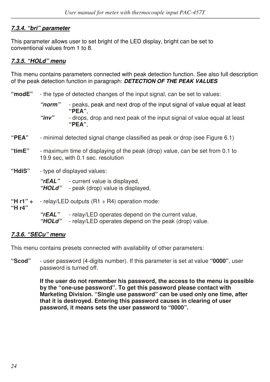## *7.3.4. "bri" parameter*

This parameter allows user to set bright of the LED display, bright can be set to conventional values from 1 to 8.

### *7.3.5. "HOLd" menu*

This menu contains parameters connected with peak detection function. See also full description of the peak detection function in paragraph: *DETECTION OF THE PEAK VALUES* 

- **"modE"**  the type of detected changes of the input signal, can be set to values:
	- *"norm"*  peaks, peak and next drop of the input signal of value equal at least  **"PEA"**,  *"inv"* - drops, drop and next peak of the input signal of value equal at least  **"PEA"**,
- **"PEA"** minimal detected signal change classified as peak or drop (see Figure 6.1)
- **"timE"**  maximum time of displaying of the peak (drop) value, can be set from 0.1 to 19.9 sec, with 0.1 sec. resolution
- **"HdiS"**  type of displayed values:

 *"rEAL"* - current value is displayed,  *"HOLd"* - peak (drop) value is displayed,

**"H r1" ÷** - relay/LED outputs (R1 ÷ R4) operation mode:

**"H r4"**

 *"rEAL"* - relay/LED operates depend on the current value,

 *"HOLd"* - relay/LED operates depend on the peak (drop) value.

### *7.3.6. "SECu" menu*

This menu contains presets connected with availability of other parameters:

**"Scod"** - user password (4-digits number). If this parameter is set at value **"0000"**, user password is turned off.

> **If the user do not remember his password, the access to the menu is possible by the "one-use password". To get this password please contact with Marketing Division. "Single use password" can be used only one time, after that it is destroyed. Entering this password causes in clearing of user password, it means sets the user password to "0000".**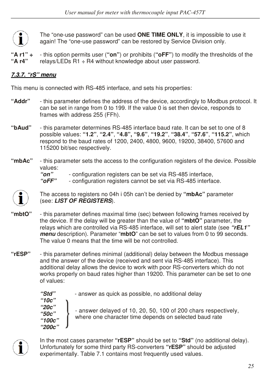The "one-use password" can be used **ONE TIME ONLY**, it is impossible to use it again! The "one-use password" can be restored by Service Division only.

**"A r1" ÷** - this option permits user (**"on"**) or prohibits (**"oFF"**) to modify the thresholds of the **"A r4"** relays/LEDs R1 ÷ R4 without knowledge about user password.

## *7.3.7. "rS" menu*

This menu is connected with RS-485 interface, and sets his properties:

- **"Addr"**  this parameter defines the address of the device, accordingly to Modbus protocol. It can be set in range from 0 to 199. If the value 0 is set then device, responds to frames with address 255 (FFh).
- **"bAud"** this parameter determines RS-485 interface baud rate. It can be set to one of 8 possible values: **"1.2"**, **"2.4"**, **"4.8", "9.6"**, **"19.2"**, **"38.4"**, **"57.6"**, **"115.2"**, which respond to the baud rates of 1200, 2400, 4800, 9600, 19200, 38400, 57600 and 115200 bit/sec respectively.
- **"mbAc"**  this parameter sets the access to the configuration registers of the device. Possible values:<br>**"on"**

 *"on"* - configuration registers can be set via RS-485 interface,

- configuration registers cannot be set via RS-485 interface.



The access to registers no 04h i 05h can't be denied by **"mbAc"** parameter (see: *LIST OF REGISTERS*).

- **"mbtO"**  this parameter defines maximal time (sec) between following frames received by the device. If the delay will be greater than the value of **"mbtO"** parameter, the relays which are controlled via RS-485 interface, will set to alert state (see *"rEL1" menu* description). Parameter "**mbtO**" can be set to values from 0 to 99 seconds. The value 0 means that the time will be not controlled.
- **"rESP"**  this parameter defines minimal (additional) delay between the Modbus message and the answer of the device (received and sent via RS-485 interface). This additional delay allows the device to work with poor RS-converters which do not works properly on baud rates higher than 19200. This parameter can be set to one of values:

*"10c" "20c" "50c" "100c" "200c"* 

 *"Std"* - answer as quick as possible, no additional delay

- answer delayed of 10, 20, 50, 100 of 200 chars respectively, where one character time depends on selected baud rate



In the most cases parameter **"rESP"** should be set to **"Std"** (no additional delay). Unfortunately for some third party RS-converters **"rESP"** should be adjusted experimentally. Table 7.1 contains most frequently used values.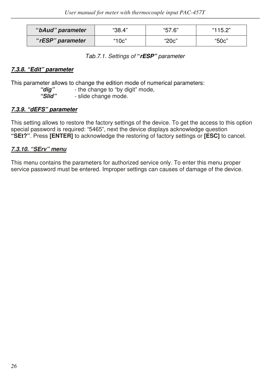| "bAud" parameter | "38.4" | "57.6" | "115.2" |
|------------------|--------|--------|---------|
| "rESP" parameter | "10c"  | "20c"  | "50c"   |

*Tab.7.1. Settings of* **"***rESP" parameter* 

#### *7.3.8. "Edit" parameter*

This parameter allows to change the edition mode of numerical parameters:<br>"dia" - the change to "by digit" mode.

 *"dig"* - the change to "by digit" mode,

 *"Slid"* - slide change mode.

### *7.3.9. "dEFS" parameter*

This setting allows to restore the factory settings of the device. To get the access to this option special password is required: "5465", next the device displays acknowledge question **"SEt?"**. Press **[ENTER]** to acknowledge the restoring of factory settings or **[ESC]** to cancel.

## *7.3.10. "SErv" menu*

This menu contains the parameters for authorized service only. To enter this menu proper service password must be entered. Improper settings can causes of damage of the device.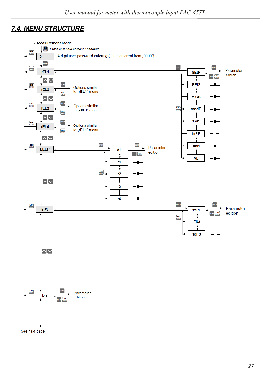# *7.4. MENU STRUCTURE*



See next page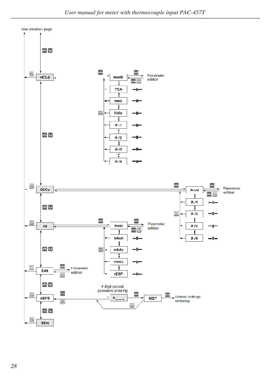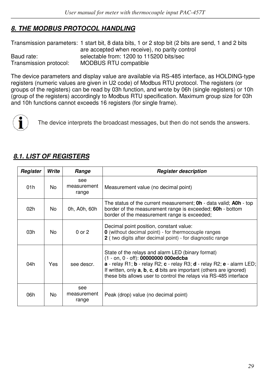# *8. THE MODBUS PROTOCOL HANDLING*

Transmission parameters: 1 start bit, 8 data bits, 1 or 2 stop bit (2 bits are send, 1 and 2 bits are accepted when receive), no parity control Baud rate: selectable from: 1200 to 115200 bits/sec Transmission protocol: MODBUS RTU compatible

The device parameters and display value are available via RS-485 interface, as HOLDING-type registers (numeric values are given in U2 code) of Modbus RTU protocol. The registers (or groups of the registers) can be read by 03h function, and wrote by 06h (single registers) or 10h (group of the registers) accordingly to Modbus RTU specification. Maximum group size for 03h and 10h functions cannot exceeds 16 registers (for single frame).



The device interprets the broadcast messages, but then do not sends the answers.

## *8.1. LIST OF REGISTERS*

| Register | Write | Range                       | <b>Register description</b>                                                                                                                                                                                                                                                                                                                    |
|----------|-------|-----------------------------|------------------------------------------------------------------------------------------------------------------------------------------------------------------------------------------------------------------------------------------------------------------------------------------------------------------------------------------------|
| 01h      | No.   | see<br>measurement<br>range | Measurement value (no decimal point)                                                                                                                                                                                                                                                                                                           |
| 02h      | No.   | 0h, A0h, 60h                | The status of the current measurement; <b>0h</b> - data valid; <b>A0h</b> - top<br>border of the measurement range is exceeded; 60h - bottom<br>border of the measurement range is exceeded;                                                                                                                                                   |
| 03h      | No.   | $0$ or $2$                  | Decimal point position, constant value:<br><b>0</b> (without decimal point) - for thermocouple ranges<br>2 (two digits after decimal point) - for diagnostic range                                                                                                                                                                             |
| 04h      | Yes   | see descr.                  | State of the relays and alarm LED (binary format)<br>(1 - on, 0 - off): 00000000 000edcba<br>a - relay R1; b - relay R2; c - relay R3; d - relay R2; e - alarm LED;<br>If written, only <b>a</b> , <b>b</b> , <b>c</b> , <b>d</b> bits are important (others are ignored)<br>these bits allows user to control the relays via RS-485 interface |
| 06h      | No.   | see<br>measurement<br>range | Peak (drop) value (no decimal point)                                                                                                                                                                                                                                                                                                           |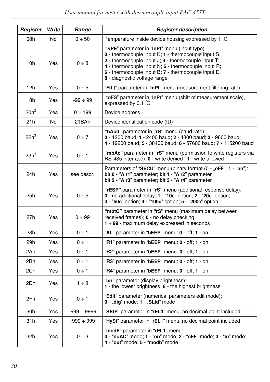| Register         | Write          | Range            | <b>Register description</b>                                                                                                                                                                                                                                                                                         |
|------------------|----------------|------------------|---------------------------------------------------------------------------------------------------------------------------------------------------------------------------------------------------------------------------------------------------------------------------------------------------------------------|
| 08h              | No             | 0 ÷ 50           | Temperature inside device housing expressed by 1 °C                                                                                                                                                                                                                                                                 |
| 10 <sub>h</sub>  | Yes            | $0 \div 8$       | "tyPE" parameter in "InPt" menu (input type).<br>0 - thermocouple input K; 1 - thermocouple input S;<br>2 - thermocouple input $J: 3$ - thermocouple input $T:$<br>4 - thermocouple input $N$ : 5 - thermocouple input $R$ :<br>6 - thermocouple input B; 7 - thermocouple input E;<br>8 - diagnostic voltage range |
| 12h              | Yes            | 0 ÷ 5            | "FiLt" parameter in "InPt" menu (measurement filtering rate)                                                                                                                                                                                                                                                        |
| 18h              | Yes            | $-99 \div 99$    | "toFS" parameter in "InPt" menu (shift of measurement scale),<br>expressed by 0.1 C                                                                                                                                                                                                                                 |
| $20h^2$          | Yes            | $0 \div 199$     | Device address                                                                                                                                                                                                                                                                                                      |
| 21h              | N <sub>o</sub> | 21BAh            | Device identification code (ID)                                                                                                                                                                                                                                                                                     |
| 22h <sup>3</sup> | Yes            | 0 ÷ 7            | "bAud" parameter in "rS" menu (baud rate);<br>0 - 1200 baud; 1 - 2400 baud; 2 - 4800 baud; 3 - 9600 baud;<br>4 - 19200 baud; 5 - 38400 baud; 6 - 57600 baud; 7 - 115200 baud                                                                                                                                        |
| 23h <sup>4</sup> | Yes            | $0 \div 1$       | "mbAc" parameter in "rS" menu (permission to write registers via<br>RS-485 interface); 0 - write denied ; 1 - write allowed                                                                                                                                                                                         |
| 24h              | Yes            | see descr.       | Parameters of "SECU" menu (binary format (0 - "oFF", 1 - "on"):<br>bit 0 - "A r1" parameter; bit 1 - "A r2" parameter<br>bit 2 - "A r3" parameter; bit 3 - "A r4" parameter                                                                                                                                         |
| 25h              | Yes            | 0 ÷ 5            | "rESP" parameter in "rS" menu (additional response delay);<br>0 - no additional delay; 1 - "10c" option; 2 - "20c" option;<br>3 - "50c" option; 4 - "100c" option; 5 - "200c" option;                                                                                                                               |
| 27h              | Yes            | 0 ÷ 99           | "mbtO" parameter in "rS" menu (maximum delay between<br>received frames); 0 - no delay checking;<br>$1 \div 99$ - maximum delay expressed in seconds                                                                                                                                                                |
| 28h              | Yes            | $0 \div 1$       | "AL" parameter in "bEEP" menu: 0 - off; 1 - on                                                                                                                                                                                                                                                                      |
| 29h              | Yes            | $0 \div 1$       | "R1" parameter in "bEEP" menu: 0 - off; 1 - on                                                                                                                                                                                                                                                                      |
| 2Ah              | Yes            | $0 \div 1$       | "R2" parameter in "bEEP" menu: 0 - off; 1 - on                                                                                                                                                                                                                                                                      |
| 2Bh              | Yes            | 0 ÷ 1            | "R3" parameter in "bEEP" menu: 0 - off; 1 - on                                                                                                                                                                                                                                                                      |
| 2Ch              | Yes            | $0 \div 1$       | "R4" parameter in "bEEP" menu: 0 - off; 1 - on                                                                                                                                                                                                                                                                      |
| 2Dh              | Yes            | $1 \div 8$       | "bri" parameter (display brightness);<br>1 - the lowest brightness; 8 - the highest brightness                                                                                                                                                                                                                      |
| 2Fh              | Yes            | $0 \div 1$       | "Edit" parameter (numerical parameters edit mode);<br>$0$ - "dig" mode; $1$ - "SLid" mode                                                                                                                                                                                                                           |
| 30 <sub>h</sub>  | Yes            | $-999 \div 9999$ | "SEtP" parameter in "rEL1" menu, no decimal point included                                                                                                                                                                                                                                                          |
| 31h              | Yes            | $-999 \div 999$  | "HySt" parameter in "rEL1" menu, no decimal point included                                                                                                                                                                                                                                                          |
| 32h              | Yes            | 0 ÷ 3            | "modE" parameter in "rEL1" menu:<br>0 - "noAC" mode; 1 - "on" mode; 2 - "oFF" mode; 3 - "in" mode;<br>4 - "out" mode; 5 - "modb" mode                                                                                                                                                                               |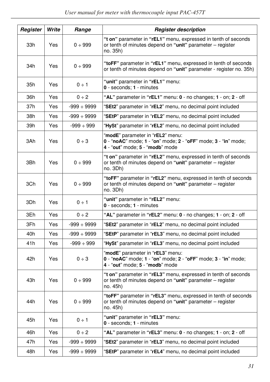| Register | Write | Range            | <b>Register description</b>                                                                                                                              |
|----------|-------|------------------|----------------------------------------------------------------------------------------------------------------------------------------------------------|
| 33h      | Yes   | 0 ÷ 999          | "t on" parameter in "rEL1" menu, expressed in tenth of seconds<br>or tenth of minutes depend on "unit" parameter - register<br>no. 35h)                  |
| 34h      | Yes   | 0 ÷ 999          | "toFF" parameter in "rEL1" menu, expressed in tenth of seconds<br>or tenth of minutes depend on "unit" parameter - register no. 35h)                     |
| 35h      | Yes   | $0 \div 1$       | "unit" parameter in "rEL1" menu:<br>0 - seconds; 1 - minutes                                                                                             |
| 36h      | Yes   | $0 \div 2$       | "AL" parameter in "rEL1" menu: $0$ - no changes; $1$ - on; $2$ - off                                                                                     |
| 37h      | Yes   | $-999 \div 9999$ | "SEt2" parameter in "rEL2" menu, no decimal point included                                                                                               |
| 38h      | Yes   | -999 ÷ 9999      | "SEtP" parameter in "rEL2" menu, no decimal point included                                                                                               |
| 39h      | Yes   | $-999 \div 999$  | "HySt" parameter in "rEL2" menu, no decimal point included                                                                                               |
| 3Ah      | Yes   | 0 ÷ 3            | "modE" parameter in "rEL2" menu:<br>$0 - \text{``noAC'' mode; 1 - "on'' mode; 2 - "oFF" mode; 3 - \text{``in'' mode;$<br>4 - "out" mode; 5 - "modb" mode |
| 3Bh      | Yes   | 0 ÷ 999          | "t on" parameter in "rEL2" menu, expressed in tenth of seconds<br>or tenth of minutes depend on "unit" parameter - register<br>no. 3Dh)                  |
| 3Ch      | Yes   | 0 ÷ 999          | "toFF" parameter in "rEL2" menu, expressed in tenth of seconds<br>or tenth of minutes depend on "unit" parameter – register<br>no. 3Dh)                  |
| 3Dh      | Yes   | $0 \div 1$       | "unit" parameter in "rEL2" menu:<br>0 - seconds; 1 - minutes                                                                                             |
| 3Eh      | Yes   | $0 \div 2$       | "AL" parameter in " $rEL2$ " menu: $0$ - no changes; $1$ - on; $2$ - off                                                                                 |
| 3Fh      | Yes   | $-999 \div 9999$ | "SEt2" parameter in "rEL2" menu, no decimal point included                                                                                               |
| 40h      | Yes   | $-999 \div 9999$ | "SEtP" parameter in "rEL3" menu, no decimal point included                                                                                               |
| 41h      | Yes   | $-999 \div 999$  | "HySt" parameter in "rEL3" menu, no decimal point included                                                                                               |
| 42h      | Yes   | 0 ÷ 3            | "modE" parameter in "rEL3" menu:<br>0 - "noAC" mode; 1 - "on" mode; 2 - "oFF" mode; 3 - "in" mode;<br>4 - "out" mode; 5 - "modb" mode                    |
| 43h      | Yes   | 0 ÷ 999          | "t on" parameter in "rEL3" menu, expressed in tenth of seconds<br>or tenth of minutes depend on "unit" parameter - register<br>no. 45h)                  |
| 44h      | Yes   | 0 ÷ 999          | "toFF" parameter in "rEL3" menu, expressed in tenth of seconds<br>or tenth of minutes depend on "unit" parameter - register<br>no. 45h)                  |
| 45h      | Yes   | $0 \div 1$       | "unit" parameter in "rEL3" menu:<br>0 - seconds; 1 - minutes                                                                                             |
| 46h      | Yes   | 0 ÷ 2            | "AL" parameter in "rEL3" menu: 0 - no changes; 1 - on; 2 - off                                                                                           |
| 47h      | Yes   | -999 ÷ 9999      | "SEt2" parameter in "rEL3" menu, no decimal point included                                                                                               |
| 48h      | Yes   | $-999 \div 9999$ | "SEtP" parameter in "rEL4" menu, no decimal point included                                                                                               |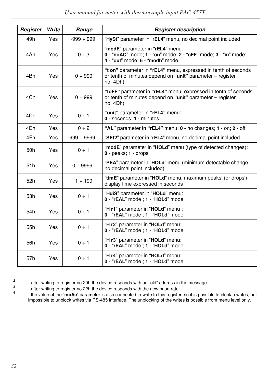| Register | Write | Range            | <b>Register description</b>                                                                                                             |
|----------|-------|------------------|-----------------------------------------------------------------------------------------------------------------------------------------|
| 49h      | Yes   | $-999 \div 999$  | "HySt" parameter in "rEL4" menu, no decimal point included                                                                              |
| 4Ah      | Yes   | $0 \div 3$       | "modE" parameter in "rEL4" menu:<br>0 - "noAC" mode; 1 - "on" mode; 2 - "oFF" mode; 3 - "in" mode;<br>4 - "out" mode: 5 - "modb" mode   |
| 4Bh      | Yes   | 0 ÷ 999          | "t on" parameter in "rEL4" menu, expressed in tenth of seconds<br>or tenth of minutes depend on "unit" parameter - register<br>no. 4Dh) |
| 4Ch      | Yes   | 0 ÷ 999          | "toFF" parameter in "rEL4" menu, expressed in tenth of seconds<br>or tenth of minutes depend on "unit" parameter - register<br>no. 4Dh) |
| 4Dh      | Yes   | $0 \div 1$       | "unit" parameter in "rEL4" menu:<br>$0 - seconds; 1 - minutes$                                                                          |
| 4Eh      | Yes   | $0 \div 2$       | "AL" parameter in " $rEL4$ " menu: $0$ - no changes; $1$ - on; $2$ - off                                                                |
| 4Fh      | Yes   | $-999 \div 9999$ | "SEt2" parameter in "rEL4" menu, no decimal point included                                                                              |
| 50h      | Yes   | $0 \div 1$       | "modE" parameter in "HOLd" menu (type of detected changes):<br>$0 - peaks$ : 1 - drops                                                  |
| 51h      | Yes   | 0 ÷ 9999         | "PEA" parameter in "HOLd" menu (minimum detectable change,<br>no decimal point included)                                                |
| 52h      | Yes   | $1 \div 199$     | "timE" parameter in "HOLd" menu, maximum peaks' (or drops')<br>display time expressed in seconds                                        |
| 53h      | Yes   | $0 \div 1$       | "HdiS" parameter in "HOLd" menu:<br>0 - "rEAL" mode ; 1 - "HOLd" mode                                                                   |
| 54h      | Yes   | $0 \div 1$       | "H r1" parameter in "HOLd" menu :<br>0 - "rEAL" mode ; 1 - "HOLd" mode                                                                  |
| 55h      | Yes   | $0 \div 1$       | "H r2" parameter in "HOLd" menu:<br>0 - "rEAL" mode ; 1 - "HOLd" mode                                                                   |
| 56h      | Yes   | $0 \div 1$       | "H r3" parameter in "HOLd" menu:<br>0 - "rEAL" mode ; 1 - "HOLd" mode                                                                   |
| 57h      | Yes   | $0 \div 1$       | "H r4" parameter in "HOLd" menu:<br>0 - "rEAL" mode ; 1 - "HOLd" mode                                                                   |

2 3

- after writing to register no 20h the device responds with an "old" address in the message.

 - after writing to register no 22h the device responds with the new baud rate. 4

 - the value of the "**mbAc**" parameter is also connected to write to this register, so it is possible to block a writes, but impossible to unblock writes via RS-485 interface, The unblocking of the writes is possible from menu level only.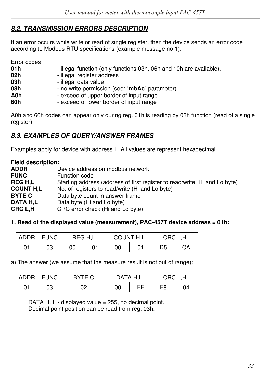## *8.2. TRANSMISSION ERRORS DESCRIPTION*

If an error occurs while write or read of single register, then the device sends an error code according to Modbus RTU specifications (example message no 1).

Error codes:

| 01 h | - illegal function (only functions 03h, 06h and 10h are available), |
|------|---------------------------------------------------------------------|
| 02h  | - illegal register address                                          |
| 03h  | - illegal data value                                                |
| 08h  | - no write permission (see: "mbAc" parameter)                       |
| A0h  | - exceed of upper border of input range                             |
| 60h  | - exceed of lower border of input range                             |
|      |                                                                     |

A0h and 60h codes can appear only during reg. 01h is reading by 03h function (read of a single register).

## *8.3. EXAMPLES OF QUERY/ANSWER FRAMES*

Examples apply for device with address 1. All values are represent hexadecimal.

**Field description: ADDR Device address on modbus network**<br> **FUNC Device** Function code **FUNC** Function code<br> **REG H.L** Starting addres Starting address (address of first register to read/write, Hi and Lo byte) **COUNT H,L** No. of registers to read/write (Hi and Lo byte) **BYTE C** Data byte count in answer frame **DATA H,L** Data byte (Hi and Lo byte)<br>**CRC L.H** CRC error check (Hi and L CRC error check (Hi and Lo byte)

#### **1. Read of the displayed value (measurement), PAC-457T device address = 01h:**

| <b>ADDR</b> | <b>FUNC</b> | REG H.L | COUNT H,L | CRC L.H |    |
|-------------|-------------|---------|-----------|---------|----|
| 01          | 03          | 00      | 00        | D5      | CA |

a) The answer (we assume that the measure result is not out of range):

|    | ADDR   FUNC | BYTE C | DATA H.L |    | CRC L.H |    |  |
|----|-------------|--------|----------|----|---------|----|--|
| 01 | 03          | 02     | 00       | ЕF | F8      | 04 |  |

DATA H,  $L$  - displayed value = 255, no decimal point. Decimal point position can be read from reg. 03h.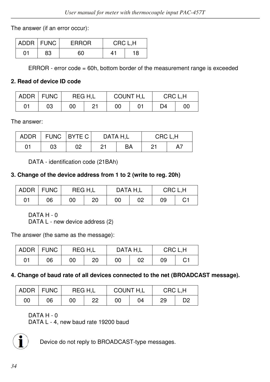The answer (if an error occur):

|    | ADDR   FUNC | <b>ERROR</b> | CRC L.H |    |
|----|-------------|--------------|---------|----|
| 01 | 83          | 60           | 41      | 18 |

ERROR - error code = 60h, bottom border of the measurement range is exceeded

## **2. Read of device ID code**

|    | ADDR   FUNC | REG H.L |    | COUNT H,L |  | CRC L.H |    |
|----|-------------|---------|----|-----------|--|---------|----|
| 01 | 03          | 00      | 21 | 00        |  | D4      | 00 |

The answer:

| <b>ADDR</b> |    | FUNC BYTE C | DATA H.L |    | CRC L.H |  |  |
|-------------|----|-------------|----------|----|---------|--|--|
| 01          | 03 | 02          | າາ       | ВA | 21      |  |  |

DATA - identification code (21BAh)

## **3. Change of the device address from 1 to 2 (write to reg. 20h)**

|    | ADDR   FUNC | REG H.L |    | DATA H.L |    | CRC L.H |    |
|----|-------------|---------|----|----------|----|---------|----|
| 01 | 06          | 00      | 20 | 00       | 02 | 09      | C1 |

DATA H - 0

DATA L - new device address (2)

The answer (the same as the message):

|    | ADDR FUNC | REG H.L |    | DATA H.L |    | CRC L.H |    |
|----|-----------|---------|----|----------|----|---------|----|
| 01 | 06        | 00      | 20 | 00       | 02 | 09      | С1 |

### **4. Change of baud rate of all devices connected to the net (BROADCAST message).**

|    | ADDR   FUNC | REG H.L |    | COUNT H,L |    | CRC L.H |    |
|----|-------------|---------|----|-----------|----|---------|----|
| 00 | 06          | 00      | າາ | 00        | 04 | 29      | D2 |

DATA H - 0

DATA L - 4, new baud rate 19200 baud



Device do not reply to BROADCAST-type messages.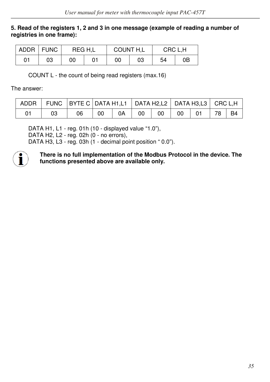#### **5. Read of the registers 1, 2 and 3 in one message (example of reading a number of registries in one frame):**

|    | ADDR   FUNC | REG H.L |  | COUNT H.L |    | CRC L.H |    |
|----|-------------|---------|--|-----------|----|---------|----|
| 01 | 03          | 00      |  | 00        | 03 | 54      | 0Β |

COUNT L - the count of being read registers (max.16)

The answer:

|  | ADDR   FUNC   BYTE C   DATA H1,L1   DATA H2,L2   DATA H3,L3   CRC L,H |                 |      |    |                 |    |             |       |  |
|--|-----------------------------------------------------------------------|-----------------|------|----|-----------------|----|-------------|-------|--|
|  | 06                                                                    | 00 <sub>o</sub> | 0A l | 00 | 00 <sub>1</sub> | 00 | $\sqrt{01}$ | 78 B4 |  |

DATA H1, L1 - reg. 01h (10 - displayed value "1.0"), DATA H2, L2 - reg. 02h (0 - no errors), DATA H3, L3 - reg. 03h (1 - decimal point position " 0.0").



**There is no full implementation of the Modbus Protocol in the device. The functions presented above are available only.**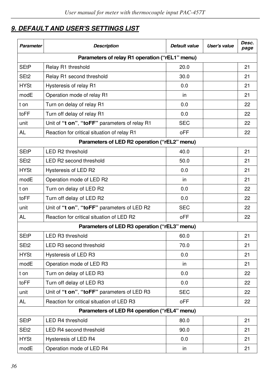# *9. DEFAULT AND USER'S SETTINGS LIST*

| Parameter        | <b>Description</b>                             | Default value | User's value | Desc.<br>page |
|------------------|------------------------------------------------|---------------|--------------|---------------|
|                  | Parameters of relay R1 operation ("rEL1" menu) |               |              |               |
| <b>SEtP</b>      | Relay R1 threshold                             | 20.0          |              | 21            |
| SEt2             | Relay R1 second threshold                      | 30.0          |              | 21            |
| <b>HYSt</b>      | Hysteresis of relay R1                         | 0.0           |              | 21            |
| modE             | Operation mode of relay R1                     | in            |              | 21            |
| t on             | Turn on delay of relay R1                      | 0.0           |              | 22            |
| toFF             | Turn off delay of relay R1                     | 0.0           |              | 22            |
| unit             | Unit of "t on", "toFF" parameters of relay R1  | SEC           |              | 22            |
| AL               | Reaction for critical situation of relay R1    | oFF           |              | 22            |
|                  | Parameters of LED R2 operation ("rEL2" menu)   |               |              |               |
| SEtP             | LED R2 threshold                               | 40.0          |              | 21            |
| SE <sub>t2</sub> | LED R2 second threshold                        | 50.0          |              | 21            |
| <b>HYSt</b>      | Hysteresis of LED R2                           | 0.0           |              | 21            |
| modE             | Operation mode of LED R2                       | in            |              | 21            |
| t on             | Turn on delay of LED R2                        | 0.0           |              | 22            |
| toFF             | Turn off delay of LED R2                       | 0.0           |              | 22            |
| unit             | Unit of "t on", "toFF" parameters of LED R2    | SEC           |              | 22            |
| AL               | Reaction for critical situation of LED R2      | oFF           |              | 22            |
|                  | Parameters of LED R3 operation ("rEL3" menu)   |               |              |               |
| SEtP             | LED R3 threshold                               | 60.0          |              | 21            |
| SE <sub>t2</sub> | LED R3 second threshold                        | 70.0          |              | 21            |
| <b>HYSt</b>      | Hysteresis of LED R3                           | 0.0           |              | 21            |
| modE             | Operation mode of LED R3                       | in            |              | 21            |
| t on             | Turn on delay of LED R3                        | 0.0           |              | 22            |
| toFF             | Turn off delay of LED R3                       | 0.0           |              | 22            |
| unit             | Unit of "t on", "toFF" parameters of LED R3    | SEC           |              | 22            |
| AL               | Reaction for critical situation of LED R3      | oFF           |              | 22            |
|                  | Parameters of LED R4 operation ("rEL4" menu)   |               |              |               |
| <b>SEtP</b>      | LED R4 threshold                               | 80.0          |              | 21            |
| SEt2             | LED R4 second threshold                        | 90.0          |              | 21            |
| <b>HYSt</b>      | Hysteresis of LED R4                           | 0.0           |              | 21            |
| modE             | Operation mode of LED R4                       | in            |              | 21            |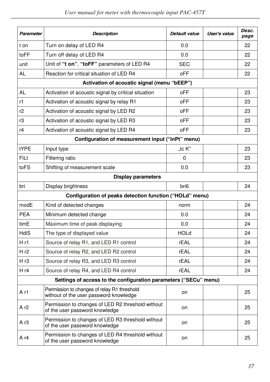| <b>Parameter</b>                                                 | <b>Description</b>                                                                    | Default value    | User's value | Desc.<br>page |  |  |  |
|------------------------------------------------------------------|---------------------------------------------------------------------------------------|------------------|--------------|---------------|--|--|--|
| t on                                                             | Turn on delay of LED R4                                                               | 0.0              |              | 22            |  |  |  |
| toFF                                                             | Turn off delay of LED R4                                                              | 0.0              |              | 22            |  |  |  |
| unit                                                             | Unit of "t on", "toFF" parameters of LED R4                                           | <b>SEC</b>       |              | 22            |  |  |  |
| AL                                                               | Reaction for critical situation of LED R4                                             | oFF              |              | 22            |  |  |  |
| Activation of acoustic signal (menu "bEEP")                      |                                                                                       |                  |              |               |  |  |  |
| AL                                                               | Activation of acoustic signal by critical situation                                   | oFF              |              | 23            |  |  |  |
| r1                                                               | Activation of acoustic signal by relay R1                                             | oFF              |              | 23            |  |  |  |
| r2                                                               | Activation of acoustic signal by LED R2                                               | oFF              |              | 23            |  |  |  |
| r3                                                               | Activation of acoustic signal by LED R3                                               | oFF              |              | 23            |  |  |  |
| r4                                                               | Activation of acoustic signal by LED R4                                               | oFF              |              | 23            |  |  |  |
| Configuration of measurement input ("inPt" menu)                 |                                                                                       |                  |              |               |  |  |  |
| tYPE                                                             | Input type                                                                            | tc K"            |              | 23            |  |  |  |
| FiLt                                                             | Filtering ratio                                                                       | $\Omega$         |              | 23            |  |  |  |
| toFS                                                             | Shifting of measurement scale                                                         | 0.0              |              | 23            |  |  |  |
| <b>Display parameters</b>                                        |                                                                                       |                  |              |               |  |  |  |
| bri                                                              | Display brightness                                                                    | bri <sub>6</sub> |              | 24            |  |  |  |
| Configuration of peaks detection function ("HOLd" menu)          |                                                                                       |                  |              |               |  |  |  |
| modE                                                             | Kind of detected changes                                                              | norm             |              | 24            |  |  |  |
| <b>PEA</b>                                                       | Minimum detected change                                                               | 0.0              |              | 24            |  |  |  |
| timE                                                             | Maximum time of peak displaying                                                       | 0.0              |              | 24            |  |  |  |
| <b>HdiS</b>                                                      | The type of displayed value                                                           | <b>HOLd</b>      |              | 24            |  |  |  |
| H r1                                                             | Source of relay R1, and LED R1 control                                                | rEAL             |              | 24            |  |  |  |
| Hr2                                                              | Source of relay R2, and LED R2 control                                                | rEAL             |              | 24            |  |  |  |
| H r3                                                             | Source of relay R3, and LED R3 control                                                | rEAL             |              | 24            |  |  |  |
| Hr4                                                              | Source of relay R4, and LED R4 control                                                | rEAL             |              | 24            |  |  |  |
| Settings of access to the configuration parameters ("SECu" menu) |                                                                                       |                  |              |               |  |  |  |
| A r1                                                             | Permission to changes of relay R1 threshold<br>without of the user password knowledge | on               |              | 25            |  |  |  |
| Ar <sub>2</sub>                                                  | Permission to changes of LED R2 threshold without<br>of the user password knowledge   | on               |              | 25            |  |  |  |
| A r3                                                             | Permission to changes of LED R3 threshold without<br>of the user password knowledge   | on               |              | 25            |  |  |  |
| A r4                                                             | Permission to changes of LED R4 threshold without<br>of the user password knowledge   | on               |              | 25            |  |  |  |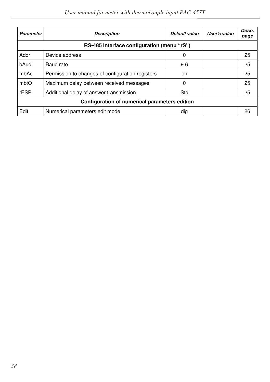| Parameter                                     | <b>Description</b>                               | Default value | User's value | Desc.<br>page |  |  |
|-----------------------------------------------|--------------------------------------------------|---------------|--------------|---------------|--|--|
| RS-485 interface configuration (menu "rS")    |                                                  |               |              |               |  |  |
| Addr                                          | Device address                                   | 0             |              | 25            |  |  |
| bAud                                          | Baud rate                                        | 9.6           |              | 25            |  |  |
| mbAc                                          | Permission to changes of configuration registers | on.           |              | 25            |  |  |
| mbtO                                          | Maximum delay between received messages          | 0             |              | 25            |  |  |
| rESP                                          | Additional delay of answer transmission          | Std           |              | 25            |  |  |
| Configuration of numerical parameters edition |                                                  |               |              |               |  |  |
| Edit                                          | Numerical parameters edit mode                   | dig           |              | 26            |  |  |